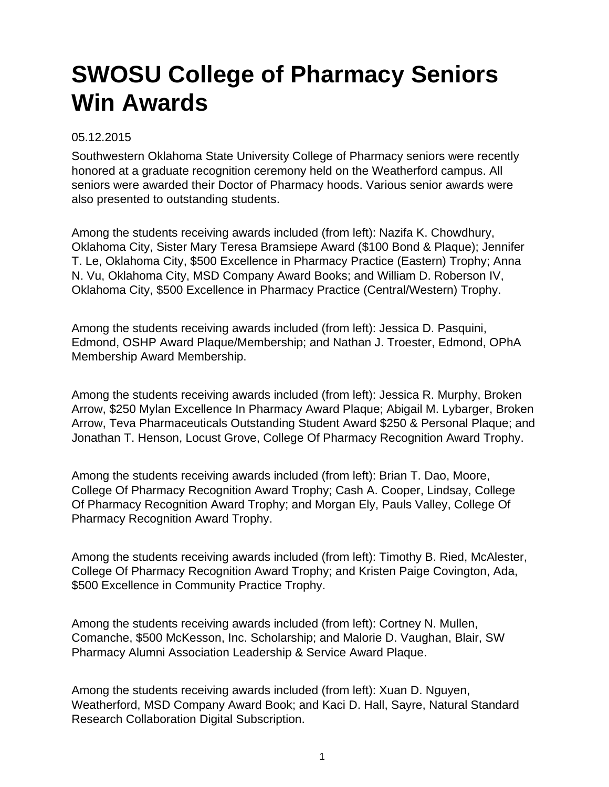## **SWOSU College of Pharmacy Seniors Win Awards**

## 05.12.2015

Southwestern Oklahoma State University College of Pharmacy seniors were recently honored at a graduate recognition ceremony held on the Weatherford campus. All seniors were awarded their Doctor of Pharmacy hoods. Various senior awards were also presented to outstanding students.

Among the students receiving awards included (from left): Nazifa K. Chowdhury, Oklahoma City, Sister Mary Teresa Bramsiepe Award (\$100 Bond & Plaque); Jennifer T. Le, Oklahoma City, \$500 Excellence in Pharmacy Practice (Eastern) Trophy; Anna N. Vu, Oklahoma City, MSD Company Award Books; and William D. Roberson IV, Oklahoma City, \$500 Excellence in Pharmacy Practice (Central/Western) Trophy.

Among the students receiving awards included (from left): Jessica D. Pasquini, Edmond, OSHP Award Plaque/Membership; and Nathan J. Troester, Edmond, OPhA Membership Award Membership.

Among the students receiving awards included (from left): Jessica R. Murphy, Broken Arrow, \$250 Mylan Excellence In Pharmacy Award Plaque; Abigail M. Lybarger, Broken Arrow, Teva Pharmaceuticals Outstanding Student Award \$250 & Personal Plaque; and Jonathan T. Henson, Locust Grove, College Of Pharmacy Recognition Award Trophy.

Among the students receiving awards included (from left): Brian T. Dao, Moore, College Of Pharmacy Recognition Award Trophy; Cash A. Cooper, Lindsay, College Of Pharmacy Recognition Award Trophy; and Morgan Ely, Pauls Valley, College Of Pharmacy Recognition Award Trophy.

Among the students receiving awards included (from left): Timothy B. Ried, McAlester, College Of Pharmacy Recognition Award Trophy; and Kristen Paige Covington, Ada, \$500 Excellence in Community Practice Trophy.

Among the students receiving awards included (from left): Cortney N. Mullen, Comanche, \$500 McKesson, Inc. Scholarship; and Malorie D. Vaughan, Blair, SW Pharmacy Alumni Association Leadership & Service Award Plaque.

Among the students receiving awards included (from left): Xuan D. Nguyen, Weatherford, MSD Company Award Book; and Kaci D. Hall, Sayre, Natural Standard Research Collaboration Digital Subscription.